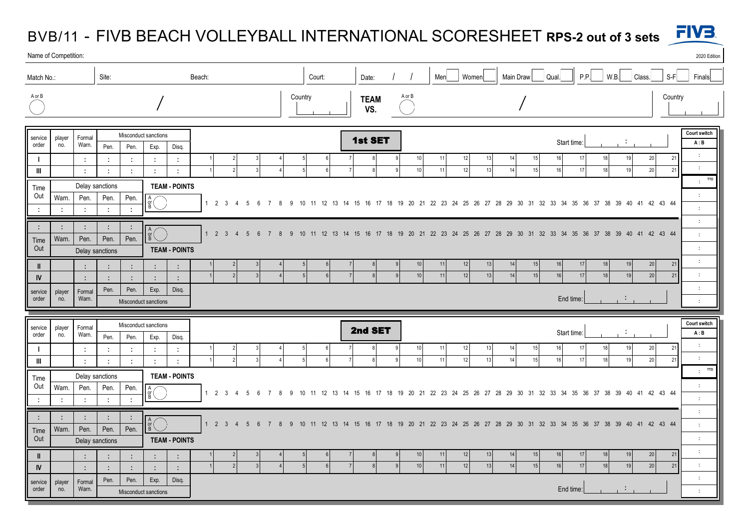## BVB/11 - FIVB BEACH VOLLEYBALL INTERNATIONAL SCORESHEET **RPS-2 out of 3 sets**



|                               | Name of Competition:<br>2020 Edition             |                                                         |                                                                                                         |                                |                                                      |                                 |  |                                     |                 |                |           |                    |                      |        |                              |                              |                                             |  |                                                                                                            |                   |          |          |          |                  |                           |                                           |         |          |                                    |                     |                                                            |
|-------------------------------|--------------------------------------------------|---------------------------------------------------------|---------------------------------------------------------------------------------------------------------|--------------------------------|------------------------------------------------------|---------------------------------|--|-------------------------------------|-----------------|----------------|-----------|--------------------|----------------------|--------|------------------------------|------------------------------|---------------------------------------------|--|------------------------------------------------------------------------------------------------------------|-------------------|----------|----------|----------|------------------|---------------------------|-------------------------------------------|---------|----------|------------------------------------|---------------------|------------------------------------------------------------|
| Site:<br>Beach:<br>Match No.: |                                                  |                                                         |                                                                                                         |                                |                                                      |                                 |  |                                     | Court:          |                |           |                    |                      |        |                              |                              | P.P.<br>Women<br>Main Draw<br>Menl<br>Qual. |  |                                                                                                            |                   |          |          |          | W.B.             | Class.<br>$S-F$<br>Finals |                                           |         |          |                                    |                     |                                                            |
| A or B                        |                                                  |                                                         |                                                                                                         |                                |                                                      |                                 |  | Country                             |                 |                |           | <b>TEAM</b><br>VS. |                      | A or B |                              |                              |                                             |  |                                                                                                            |                   |          |          |          |                  |                           |                                           | Country |          |                                    |                     |                                                            |
| service<br>order              | player<br>no.                                    | Formal<br>Warn.                                         | Misconduct sanctions<br>Pen.<br>Pen.<br>Exp.<br>Disg.                                                   |                                |                                                      |                                 |  |                                     |                 |                |           |                    |                      |        | 1st SET                      |                              |                                             |  |                                                                                                            |                   |          |          |          |                  | Start time:               |                                           |         |          |                                    | Court switch<br>A:B |                                                            |
| $\mathbf{m}$                  |                                                  | $\mathcal{L}$<br>$\mathcal{L}$                          | $\mathcal{I}^{\mathcal{I}}$<br>÷                                                                        | $\mathcal{L}$<br>$\mathcal{L}$ | ÷<br>$\mathcal{L}^{\pm}$                             | $\cdot$<br>$\ddot{\phantom{a}}$ |  | $\overline{2}$                      | $\mathbf{3}$    |                | $\Lambda$ | $\sqrt{2}$         | 6 <sup>1</sup>       |        | $\mathsf{R}$<br>$\mathbf{g}$ | $\mathbf{q}$<br>$\mathsf{q}$ | 10<br>10 <sup>1</sup>                       |  | 11<br>11                                                                                                   | 12<br>12          | 13<br>13 | 14<br>14 | 15<br>15 | 16<br>16         | 17<br>17                  | 18<br>18                                  |         | 19<br>19 | 20<br>20                           | 21<br>21            | $\mathcal{L}_{\mathcal{C}}$<br>$\mathcal{L}$               |
| Time                          |                                                  |                                                         | Delay sanctions<br><b>TEAM - POINTS</b>                                                                 |                                |                                                      |                                 |  |                                     |                 |                |           |                    |                      |        |                              |                              |                                             |  |                                                                                                            |                   |          |          |          |                  |                           |                                           |         |          |                                    |                     | <b>TTO</b><br>$\sim$                                       |
| Out<br>÷                      | Warn.<br>$\mathcal{L}_{\mathcal{A}}$             | Pen.<br>$\mathcal{L}$                                   | Pen.<br>$\mathcal{L}$                                                                                   | Pen.<br>$\cdot$ :              | $\frac{A}{B}$                                        |                                 |  | $1\quad 2\quad 3$<br>$\overline{4}$ | -5<br>-6        | $\overline{7}$ | 9<br>-8   | 10                 | 11 12 13             |        |                              |                              |                                             |  | 14 15 16 17 18 19 20 21 22 23 24 25 26 27 28 29 30                                                         |                   |          |          |          |                  |                           | 31 32 33 34 35 36 37 38 39 40 41 42 43 44 |         |          |                                    |                     | $\sim$<br>$\mathcal{L}$                                    |
| ÷                             | ÷                                                | $\mathbb{R}$                                            | ÷                                                                                                       | $\sim$<br>Pen.                 | $\begin{array}{c}\nA \\ \text{or} \\ B\n\end{array}$ |                                 |  | $1 \t2 \t3 \t4 \t5 \t6$             |                 | $\overline{7}$ | -8        |                    |                      |        |                              |                              |                                             |  | 9 10 11 12 13 14 15 16 17 18 19 20 21 22 23 24 25 26 27 28 29 30 31 32 33 34 35 36 37 38 39 40 41 42 43 44 |                   |          |          |          |                  |                           |                                           |         |          |                                    |                     | $\mathcal{L}_{\mathcal{A}}$<br>$\mathcal{L}$               |
| Time<br>Out                   | Warn.                                            | Pen.<br>Pen.<br><b>TEAM - POINTS</b><br>Delay sanctions |                                                                                                         |                                |                                                      |                                 |  |                                     |                 |                |           |                    |                      |        |                              |                              |                                             |  |                                                                                                            |                   |          |          |          |                  |                           |                                           |         |          |                                    |                     | $\mathcal{L}$                                              |
| $\mathbf{I}$<br>IV            |                                                  | - 1                                                     | ÷<br>÷                                                                                                  | $\ddot{\phantom{a}}$<br>÷      | $\ddot{\phantom{a}}$<br>$\ddot{\phantom{a}}$         | ÷<br>$\ddot{\phantom{a}}$       |  |                                     |                 |                |           |                    | 6<br>$6\overline{6}$ |        |                              | $\mathsf{Q}$                 | 10 <sub>1</sub><br>10                       |  | 11<br>11                                                                                                   | 12<br>12          | 13<br>13 | 14<br>14 | 15<br>15 | 16<br>16         | 17<br>17                  | 18<br>18                                  |         | 19<br>19 | 20 <sub>2</sub><br>20 <sup>1</sup> | 21<br>21            | $\mathcal{L}_{\mathcal{A}}$<br>$\mathcal{L}^{\mathcal{L}}$ |
| service<br>order              | player<br>no.                                    | Formal<br>Warn.                                         | Pen.                                                                                                    | Pen.                           | Exp.<br>Misconduct sanctions                         | Disq.                           |  |                                     |                 |                |           |                    |                      |        |                              |                              |                                             |  |                                                                                                            |                   |          |          |          |                  | End time:                 |                                           |         |          |                                    |                     | $\sim$<br>$\cdot$                                          |
|                               |                                                  |                                                         |                                                                                                         |                                |                                                      |                                 |  |                                     |                 |                |           |                    |                      |        |                              |                              |                                             |  |                                                                                                            |                   |          |          |          |                  |                           |                                           |         |          |                                    |                     |                                                            |
| service<br>order              | player<br>no.                                    | Formal<br>Warn.                                         | Misconduct sanctions<br>Pen.<br>Disq.<br>Pen.<br>Exp.                                                   |                                |                                                      |                                 |  |                                     |                 |                |           |                    |                      |        | 2nd SET                      |                              |                                             |  |                                                                                                            |                   |          |          |          | Start time:<br>÷ |                           |                                           |         |          |                                    |                     | Court switch<br>A:B                                        |
| $\mathbf{I}$<br>$\mathbf{H}$  |                                                  | $\mathcal{L}_{\mathcal{A}}$                             | $\mathcal{I}$                                                                                           | ÷                              | $\mathcal{I}_\mathrm{c}$                             | $\cdot$ :<br>$\cdot$ :          |  | $\mathcal{D}$                       |                 |                |           |                    | 6<br>6 <sup>1</sup>  |        | 8<br>$\mathbf{g}$            | -9<br>-9                     | 10<br>10                                    |  | 11<br>11                                                                                                   | 12<br>12          | 13<br>13 | 14<br>14 | 15<br>15 | $16\,$<br>16     | 17<br>17                  | 18<br>18                                  |         | 19<br>19 | $20\,$<br>20                       | 21<br>21            | $\mathcal{L}_{\mathcal{A}}$<br>$\cdot$                     |
|                               |                                                  |                                                         | $\mathcal{L}$<br>$\cdot$<br>$\mathcal{L}^{\mathcal{L}}$<br>÷<br><b>TEAM - POINTS</b><br>Delay sanctions |                                |                                                      |                                 |  |                                     |                 |                |           |                    |                      |        |                              |                              |                                             |  |                                                                                                            |                   |          |          |          |                  |                           |                                           |         |          |                                    |                     | <b>TTO</b><br>$\mathcal{L}$                                |
| Time<br>Out                   | Warn.                                            | Pen.                                                    | Pen.                                                                                                    | Pen.                           | $\frac{A}{B}$                                        |                                 |  | $1 \quad 2 \quad 3 \quad 4$         | - 5             | $\overline{7}$ |           |                    |                      |        |                              |                              |                                             |  |                                                                                                            |                   |          |          |          |                  |                           |                                           |         |          |                                    |                     | $\sim$                                                     |
| ÷                             |                                                  | $\ddot{\phantom{a}}$                                    | $\ddot{\phantom{a}}$                                                                                    | $\cdot$                        |                                                      |                                 |  |                                     | 6               |                | 9<br>-8   |                    |                      |        |                              |                              |                                             |  | 10 11 12 13 14 15 16 17 18 19 20 21 22 23 24 25 26 27 28 29 30 31 32 33 34 35 36 37 38 39 40 41 42 43 44   |                   |          |          |          |                  |                           |                                           |         |          |                                    |                     | $\mathcal{L}$                                              |
| ÷                             | ÷                                                | $\cdot$ :                                               | $\ddot{\phantom{a}}$                                                                                    | $\cdot$                        | $\frac{A}{B}$ (                                      |                                 |  | $1 2 3 4 5$                         | $6\overline{6}$ | $\overline{7}$ | -8        |                    |                      |        |                              |                              |                                             |  | 9 10 11 12 13 14 15 16 17 18 19 20 21 22 23 24 25 26 27 28 29 30 31 32 33 34 35 36 37 38 39 40 41 42 43 44 |                   |          |          |          |                  |                           |                                           |         |          |                                    |                     | $\sim$<br>$\mathcal{L}$                                    |
| Time<br>Out                   | Pen.<br>Pen.<br>Warn.<br>Pen.<br>Delay sanctions |                                                         |                                                                                                         |                                |                                                      | <b>TEAM - POINTS</b>            |  |                                     |                 |                |           |                    |                      |        |                              |                              |                                             |  |                                                                                                            |                   |          |          |          |                  |                           |                                           |         |          |                                    |                     | $\mathcal{L}$                                              |
| $\mathbf{I}$                  |                                                  |                                                         |                                                                                                         |                                | ÷                                                    |                                 |  |                                     |                 |                |           |                    |                      |        |                              |                              | 10                                          |  | 11                                                                                                         | $12 \overline{ }$ | 13       | 14       | 15       | 16               | 17                        | 18                                        |         | 19       | 20 <sub>2</sub>                    | 21                  | $\mathcal{L}_{\mathcal{A}}$                                |
| IV                            |                                                  | $\ddot{\phantom{a}}$                                    | $\mathcal{L}$                                                                                           | $\ddot{\phantom{a}}$           | $\mathcal{L}$                                        | $\cdot$ :                       |  |                                     |                 |                |           |                    |                      |        |                              | $\mathbf{q}$                 | 10                                          |  | 11                                                                                                         | 12                | 13       | 14       | 15       | 16               | 17                        | 18                                        |         | 19       | 20                                 | 21                  | $\mathcal{L}^{\mathcal{L}}$                                |
| service<br>order              | player<br>no.                                    | Formal<br>Warn.                                         | Pen.                                                                                                    | Pen.                           | Exp.<br>Misconduct sanctions                         | Disq.                           |  |                                     |                 |                |           |                    |                      |        |                              |                              |                                             |  |                                                                                                            |                   |          |          |          |                  | End time:                 |                                           |         |          |                                    |                     | $\mathcal{L}$<br>$\mathcal{L}$                             |
|                               |                                                  |                                                         |                                                                                                         |                                |                                                      |                                 |  |                                     |                 |                |           |                    |                      |        |                              |                              |                                             |  |                                                                                                            |                   |          |          |          |                  |                           |                                           |         |          |                                    |                     |                                                            |